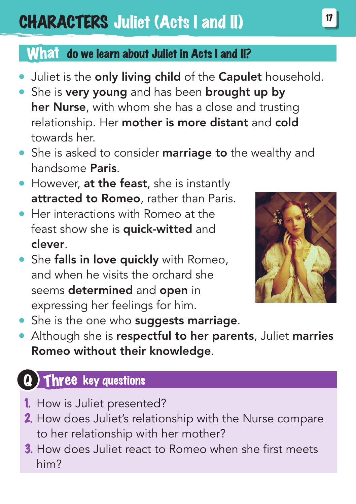## **CHARACTERS Juliet (Acts I and II)**

#### What do we learn about Juliet in Acts I and II?

- Juliet is the only living child of the Capulet household.
- She is very young and has been brought up by her Nurse, with whom she has a close and trusting relationship. Her mother is more distant and cold towards her.
- She is asked to consider marriage to the wealthy and handsome Paris.
- However, at the feast, she is instantly attracted to Romeo, rather than Paris.
- **Her interactions with Romeo at the** feast show she is **quick-witted** and clever.
- She falls in love quickly with Romeo. and when he visits the orchard she seems determined and open in expressing her feelings for him.



- She is the one who suggests marriage.
- Although she is respectful to her parents, Juliet marries Romeo without their knowledge.

### Three key questions

- 1. How is Juliet presented?
- 2. How does Juliet's relationship with the Nurse compare to her relationship with her mother?
- <sup>3</sup>. How does Juliet react to Romeo when she first meets him?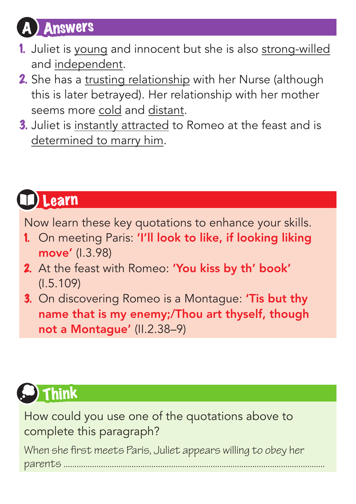## **Answers**

- 1. Juliet is young and innocent but she is also strong-willed and independent.
- 2. She has a trusting relationship with her Nurse (although this is later betrayed). Her relationship with her mother seems more cold and distant.
- 3. Juliet is instantly attracted to Romeo at the feast and is determined to marry him.

### **Learn**

Now learn these key quotations to enhance your skills.

- 1. On meeting Paris: 'I'll look to like, if looking liking move' (I.3.98)
- 2. At the feast with Romeo: 'You kiss by th' book' (I.5.109)
- 3. On discovering Romeo is a Montague: 'Tis but thy name that is my enemy;/Thou art thyself, though not a Montague' (II.2.38–9)

# Think

How could you use one of the quotations above to complete this paragraph? When she first meets Paris, Juliet appears willing to obey her parents ...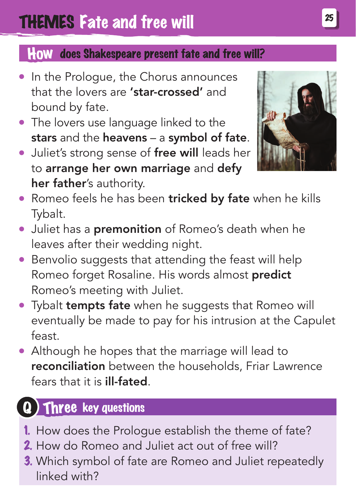#### How does Shakespeare present fate and free will?

- In the Prologue, the Chorus announces that the lovers are 'star-crossed' and bound by fate.
- The lovers use language linked to the stars and the heavens - a symbol of fate.
- **Juliet's strong sense of free will leads her** to arrange her own marriage and defy her father's authority.



- Romeo feels he has been tricked by fate when he kills Tybalt.
- Juliet has a **premonition** of Romeo's death when he leaves after their wedding night.
- Benvolio suggests that attending the feast will help Romeo forget Rosaline. His words almost predict Romeo's meeting with Juliet.
- Tybalt tempts fate when he suggests that Romeo will eventually be made to pay for his intrusion at the Capulet feast.
- Although he hopes that the marriage will lead to reconciliation between the households, Friar Lawrence fears that it is ill-fated.

### Three key questions

- 1. How does the Prologue establish the theme of fate?
- 2. How do Romeo and Juliet act out of free will?
- 3. Which symbol of fate are Romeo and Juliet repeatedly linked with?